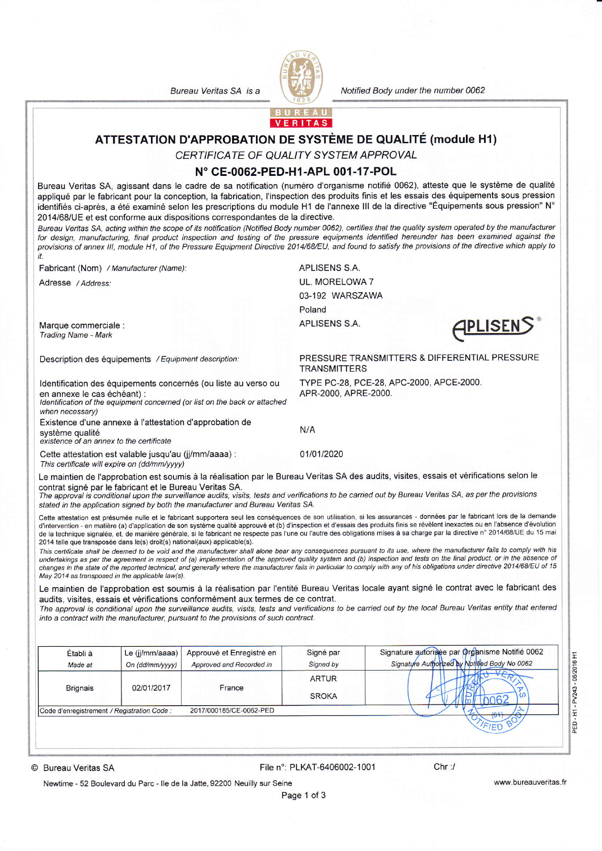Bureau Veritas SA is a



Notified Body under the number 0062

PRESSURE TRANSMITTERS & DIFFERENTIAL PRESSURE

TYPE PC-28, PCE-28, APC-2000, APCE-2000.

APLISEN



## ATTESTATION D'APPROBATION DE SYSTÈME DE QUALITÉ (module H1)

CERTIFICATE OF QUALITY SYSTEM APPROVAL

## N° CE-0062-PED-H1-APL 001-17-POL

Bureau Veritas SA, agissant dans le cadre de sa notification (numéro d'organisme notifié 0062), atteste que le système de qualité appliqué par le fabricant pour la conception, la fabrication, l'inspection des produits finis et les essais des équipements sous pression identifiés ci-après, a été examiné selon les prescriptions du module H1 de l'annexe III de la directive "Équipements sous pression" N° 2014/68/UE et est conforme aux dispositions correspondantes de la directive.

Bureau Veritas SA, acting within the scope of its notification (Notified Body number 0062), certifies that the quality system operated by the manufacturer for design, manufacturing, final product inspection and testing of the pressure equipments identified hereunder has been examined against the provisions of annex III, module H1, of the Pressure Equipment Directive 2014/68/EU, and found to satisfy the provisions of the directive which apply to it.

Fabricant (Nom) / Manufacturer (Name):

Adresse / Address:

**APLISENS S.A. UL. MORELOWA 7** 03-192 WARSZAWA Poland **APLISENS S.A.** 

**TRANSMITTERS** 

APR-2000, APRE-2000.

Marque commerciale : **Trading Name - Mark** 

Description des équipements / Equipment description:

Identification des équipements concernés (ou liste au verso ou en annexe le cas échéant) :

Identification of the equipment concerned (or list on the back or attached when necessarv)

Existence d'une annexe à l'attestation d'approbation de système qualité

existence of an annex to the certificate

Cette attestation est valable jusqu'au (jj/mm/aaaa) : This certificate will expire on (dd/mm/yyyy)

Le maintien de l'approbation est soumis à la réalisation par le Bureau Veritas SA des audits, visites, essais et vérifications selon le contrat signé par le fabricant et le Bureau Veritas SA.

 $N/A$ 

01/01/2020

The approval is conditional upon the surveillance audits, visits, tests and verifications to be carried out by Bureau Veritas SA, as per the provisions stated in the application signed by both the manufacturer and Bureau Veritas SA.

Cette attestation est présumée nulle et le fabricant supportera seul les conséquences de son utilisation, si les assurances - données par le fabricant lors de la demande d'intervention - en matière (a) d'application de son système qualité approuvé et (b) d'inspection et d'essais des produits finis se révèlent inexactes ou en l'absence d'évolution de la technique signalée, et, de manière générale, si le fabricant ne respecte pas l'une ou l'autre des obligations mises à sa charge par la directive n° 2014/68/UE du 15 mai 2014 telle que transposée dans le(s) droit(s) national(aux) applicable(s).

This certificate shall be deemed to be void and the manufacturer shall alone bear any consequences pursuant to its use, where the manufacturer fails to comply with his undertakings as per the agreement in respect of (a) implementation of the approved quality system and (b) inspection and tests on the final product, or in the absence of changes in the state of the reported technical, and generally where the manufacturer fails in particular to comply with any of his obligations under directive 2014/68/EU of 15 May 2014 as transposed in the applicable law(s).

Le maintien de l'approbation est soumis à la réalisation par l'entité Bureau Veritas locale ayant signé le contrat avec le fabricant des audits, visites, essais et vérifications conformément aux termes de ce contrat.

The approval is conditional upon the surveillance audits, visits, tests and verifications to be carried out by the local Bureau Veritas entity that entered into a contract with the manufacturer, pursuant to the provisions of such contract.

|                                             |            |                         |              | Signature Authorized by Notified Body No 0062 |
|---------------------------------------------|------------|-------------------------|--------------|-----------------------------------------------|
|                                             |            | France                  | <b>ARTUR</b> |                                               |
| <b>Brignais</b>                             | 02/01/2017 |                         | <b>SROKA</b> | ഗ                                             |
| Code d'enregistrement / Registration Code : |            | 2017/000185/CE-0062-PED |              | 104                                           |

© Bureau Veritas SA

## File n°: PLKAT-6406002-1001

Newtime - 52 Boulevard du Parc - Ile de la Jatte, 92200 Neuilly sur Seine

www.bureauveritas.fr

H1 - PV243 - 06/2016 H1

PED-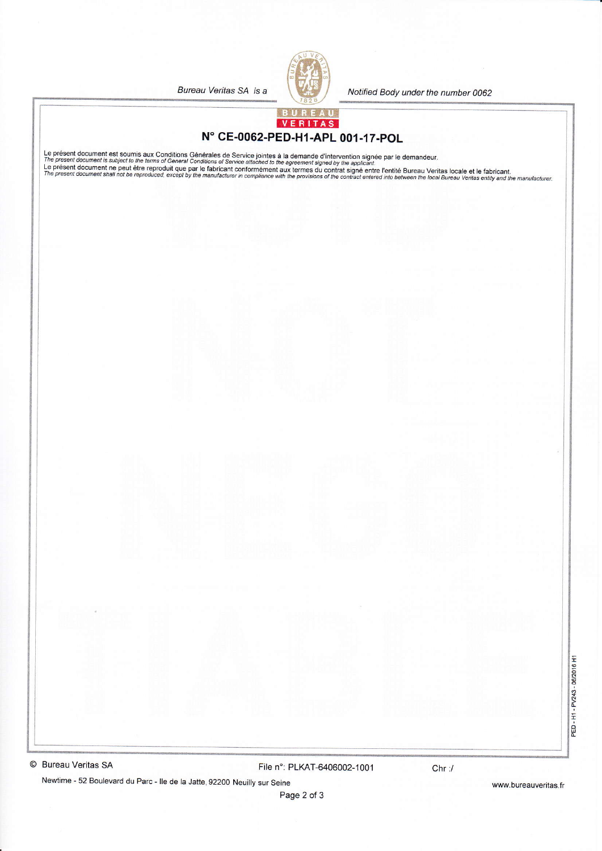Bureau Veritas SA is a



Notified Body under the number 0062

## VERITAS N° CE-0062-PED-H1-APL 001-17-POL

Le présent document est soumis aux Conditions Générales de Service jointes à la demande d'intervention signée par le demandeur.<br>The present document is subject to the terms of General Conditions of Service attached to the

© Bureau Veritas SA

File n°: PLKAT-6406002-1001

Newtime - 52 Boulevard du Parc - Ile de la Jatte, 92200 Neuilly sur Seine

www.bureauveritas.fr